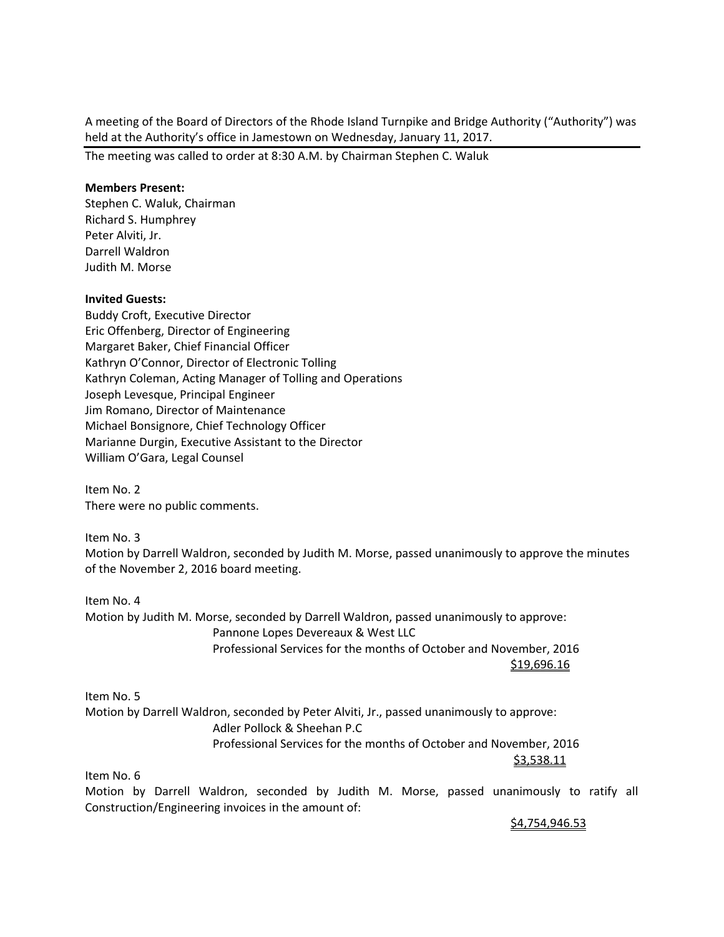A meeting of the Board of Directors of the Rhode Island Turnpike and Bridge Authority ("Authority") was held at the Authority's office in Jamestown on Wednesday, January 11, 2017.

The meeting was called to order at 8:30 A.M. by Chairman Stephen C. Waluk

## **Members Present:**

Stephen C. Waluk, Chairman Richard S. Humphrey Peter Alviti, Jr. Darrell Waldron Judith M. Morse

## **Invited Guests:**

Buddy Croft, Executive Director Eric Offenberg, Director of Engineering Margaret Baker, Chief Financial Officer Kathryn O'Connor, Director of Electronic Tolling Kathryn Coleman, Acting Manager of Tolling and Operations Joseph Levesque, Principal Engineer Jim Romano, Director of Maintenance Michael Bonsignore, Chief Technology Officer Marianne Durgin, Executive Assistant to the Director William O'Gara, Legal Counsel

Item No. 2 There were no public comments.

Item No. 3 Motion by Darrell Waldron, seconded by Judith M. Morse, passed unanimously to approve the minutes of the November 2, 2016 board meeting.

Item No. 4 Motion by Judith M. Morse, seconded by Darrell Waldron, passed unanimously to approve: Pannone Lopes Devereaux & West LLC Professional Services for the months of October and November, 2016 \$19,696.16

Item No. 5 Motion by Darrell Waldron, seconded by Peter Alviti, Jr., passed unanimously to approve: Adler Pollock & Sheehan P.C Professional Services for the months of October and November, 2016 \$3,538.11

Item No. 6

Motion by Darrell Waldron, seconded by Judith M. Morse, passed unanimously to ratify all Construction/Engineering invoices in the amount of:

<u>\$4,754,946.53</u>